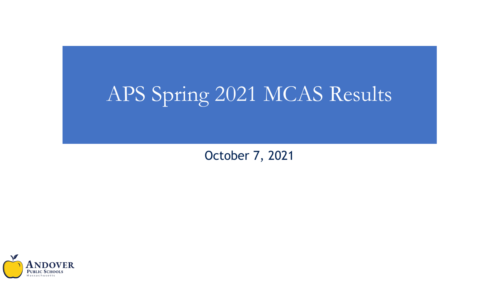# APS Spring 2021 MCAS Results

October 7, 2021

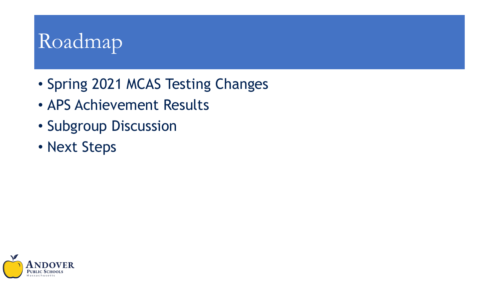# Roadmap

- Spring 2021 MCAS Testing Changes
- APS Achievement Results
- Subgroup Discussion
- Next Steps

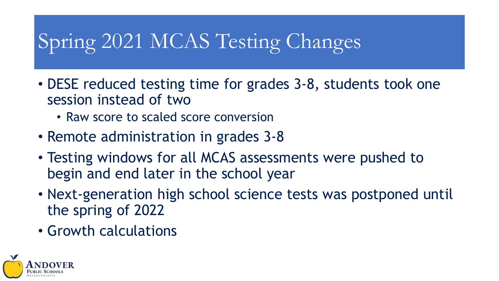# Spring 2021 MCAS Testing Changes

- DESE reduced testing time for grades 3-8, students took one session instead of two
	- Raw score to scaled score conversion
- Remote administration in grades 3-8
- Testing windows for all MCAS assessments were pushed to begin and end later in the school year
- Next-generation high school science tests was postponed until the spring of 2022
- Growth calculations

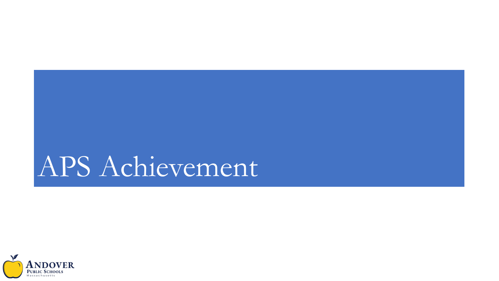# APS Achievement

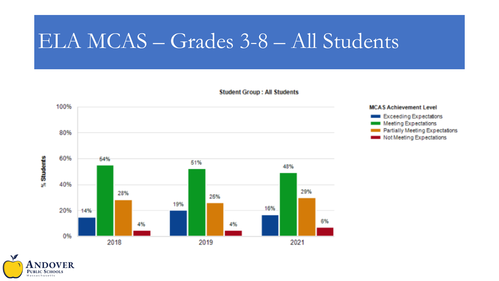#### ELA MCAS – Grades 3-8 – All Students



**Student Group: All Students** 

#### **MCAS Achievement Level Exceeding Expectations Meeting Expectations** Partially Meeting Expectations **Not Meeting Expectations**

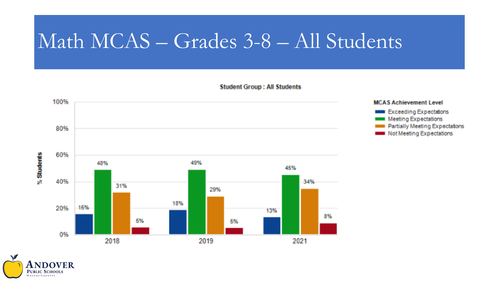## Math MCAS – Grades 3-8 – All Students







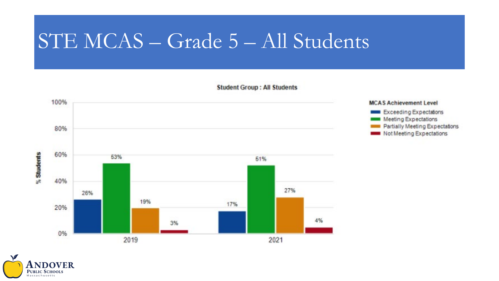## STE MCAS – Grade 5 – All Students





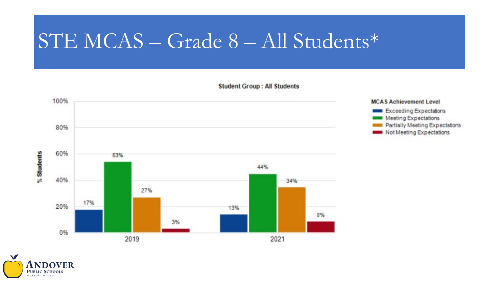## STE MCAS – Grade 8 – All Students\*





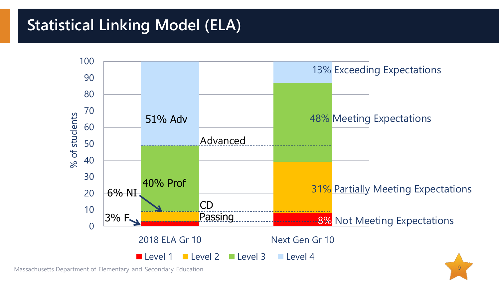#### **Statistical Linking Model (ELA)**



Massachusetts Department of Elementary and Secondary Education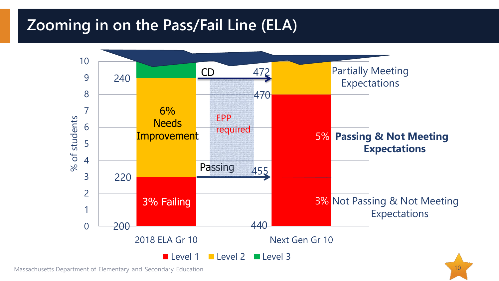#### **Zooming in on the Pass/Fail Line (ELA)**



Massachusetts Department of Elementary and Secondary Education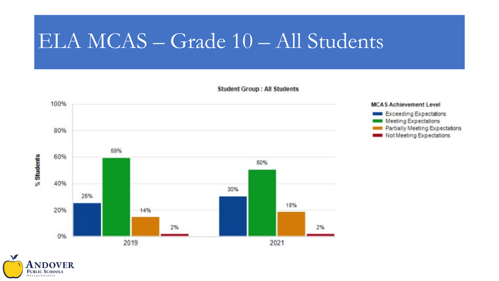### ELA MCAS – Grade 10 – All Students





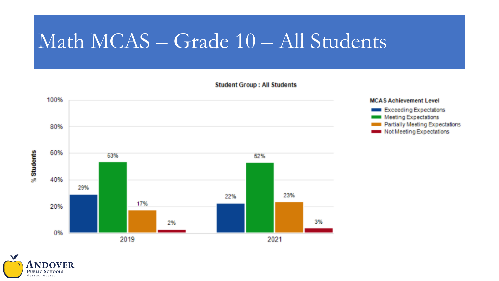## Math MCAS – Grade 10 – All Students





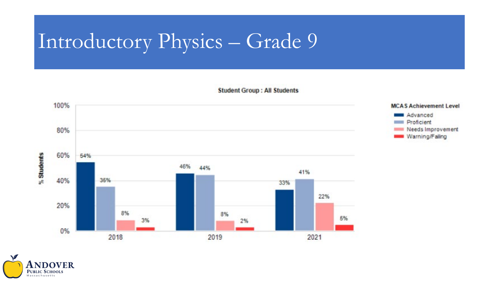# Introductory Physics – Grade 9



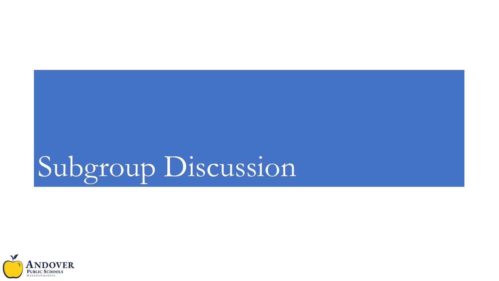# Subgroup Discussion

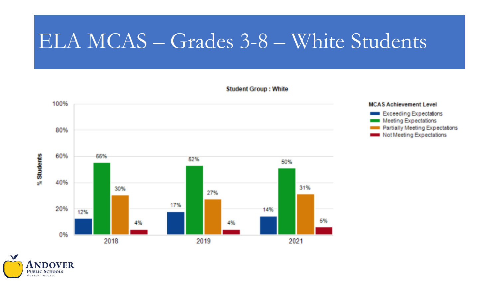#### ELA MCAS – Grades 3-8 – White Students



**Student Group: White** 

#### **MCAS Achievement Level** Exceeding Expectations **Meeting Expectations** Partially Meeting Expectations Not Meeting Expectations

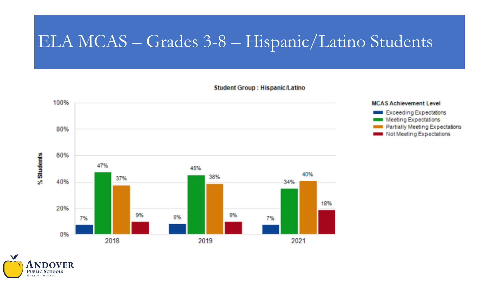#### ELA MCAS – Grades 3-8 – Hispanic/Latino Students





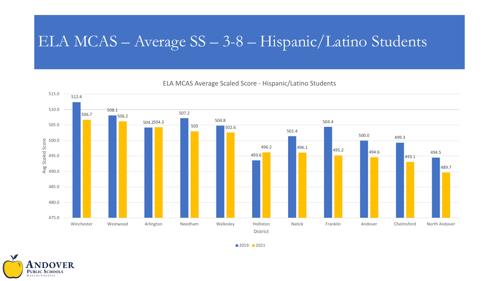#### ELA MCAS – Average SS – 3-8 – Hispanic/Latino Students

ELA MCAS Average Scaled Score - Hispanic/Latino Students



■ 2019 ■ 2021

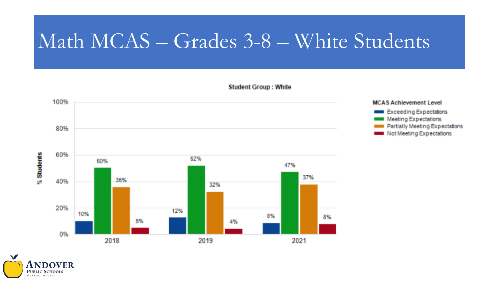## Math MCAS – Grades 3-8 – White Students



#### **Student Group: White**



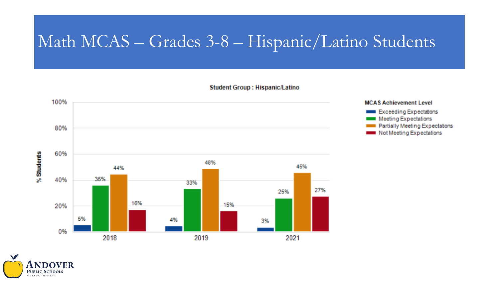#### Math MCAS – Grades 3-8 – Hispanic/Latino Students



#### **Student Group: Hispanic/Latino**



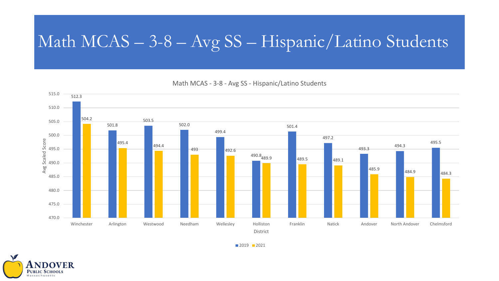#### Math MCAS – 3-8 – Avg SS – Hispanic/Latino Students

512.3 501.8 503.5 502.0 499.4 490.8 489.9 489.5 489.1 501.4 497.2 493.3 494.3 495.5 504.2  $495.4$   $494.4$ 493 492.6 485.9<br>**484.3** 484.3 470.0 475.0 480.0 485.0 490.0 495.0 500.0 505.0 510.0 515.0 Winchester Arlington Westwood Needham Wellesley Holliston Franklin Natick Andover North Andover Chelmsford Avg Scaled Score District

Math MCAS - 3-8 - Avg SS - Hispanic/Latino Students

■ 2019 ■ 2021